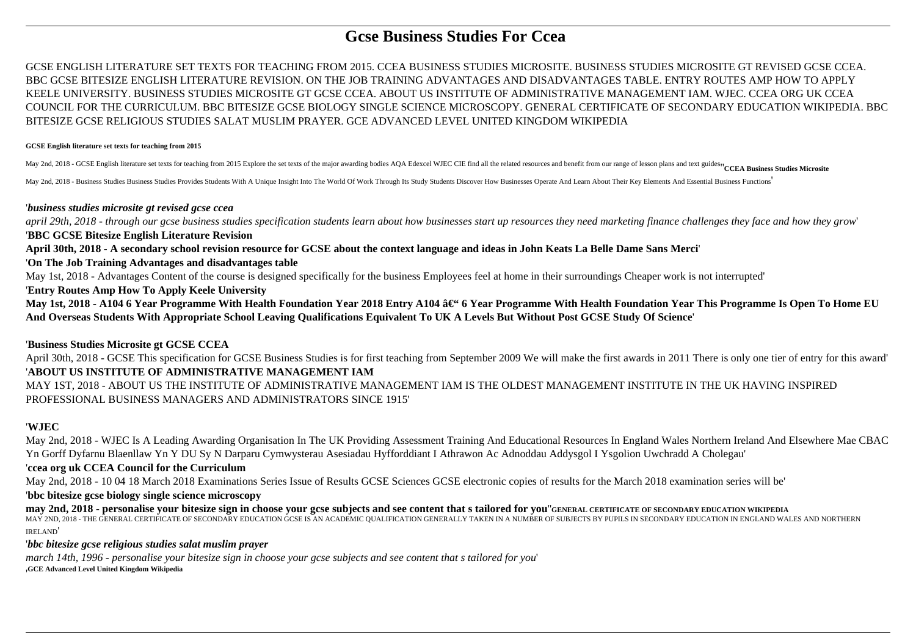# **Gcse Business Studies For Ccea**

GCSE ENGLISH LITERATURE SET TEXTS FOR TEACHING FROM 2015. CCEA BUSINESS STUDIES MICROSITE. BUSINESS STUDIES MICROSITE GT REVISED GCSE CCEA. BBC GCSE BITESIZE ENGLISH LITERATURE REVISION. ON THE JOB TRAINING ADVANTAGES AND DISADVANTAGES TABLE. ENTRY ROUTES AMP HOW TO APPLY KEELE UNIVERSITY. BUSINESS STUDIES MICROSITE GT GCSE CCEA. ABOUT US INSTITUTE OF ADMINISTRATIVE MANAGEMENT IAM. WJEC. CCEA ORG UK CCEA COUNCIL FOR THE CURRICULUM. BBC BITESIZE GCSE BIOLOGY SINGLE SCIENCE MICROSCOPY. GENERAL CERTIFICATE OF SECONDARY EDUCATION WIKIPEDIA. BBC BITESIZE GCSE RELIGIOUS STUDIES SALAT MUSLIM PRAYER. GCE ADVANCED LEVEL UNITED KINGDOM WIKIPEDIA

#### **GCSE English literature set texts for teaching from 2015**

May 2nd, 2018 - GCSE English literature set texts for teaching from 2015 Explore the set texts of the major awarding bodies AQA Edexcel WJEC CIE find all the related resources and benefit from our range of lesson plans and

May 2nd, 2018 - Business Studies Business Studies Provides Studies Provides Students With A Unique Insight Into The World Of Work Through Its Study Students Discover How Businesses Operate And Learn About Their Key Element

#### '*business studies microsite gt revised gcse ccea*

*april 29th, 2018 - through our gcse business studies specification students learn about how businesses start up resources they need marketing finance challenges they face and how they grow*' '**BBC GCSE Bitesize English Literature Revision**

## **April 30th, 2018 - A secondary school revision resource for GCSE about the context language and ideas in John Keats La Belle Dame Sans Merci**'

#### '**On The Job Training Advantages and disadvantages table**

May 1st, 2018 - Advantages Content of the course is designed specifically for the business Employees feel at home in their surroundings Cheaper work is not interrupted'

'**Entry Routes Amp How To Apply Keele University**

May 1st, 2018 - A104 6 Year Programme With Health Foundation Year 2018 Entry A104 â€" 6 Year Programme With Health Foundation Year This Programme Is Open To Home EU **And Overseas Students With Appropriate School Leaving Qualifications Equivalent To UK A Levels But Without Post GCSE Study Of Science**'

## '**Business Studies Microsite gt GCSE CCEA**

April 30th, 2018 - GCSE This specification for GCSE Business Studies is for first teaching from September 2009 We will make the first awards in 2011 There is only one tier of entry for this award' '**ABOUT US INSTITUTE OF ADMINISTRATIVE MANAGEMENT IAM**

MAY 1ST, 2018 - ABOUT US THE INSTITUTE OF ADMINISTRATIVE MANAGEMENT IAM IS THE OLDEST MANAGEMENT INSTITUTE IN THE UK HAVING INSPIRED PROFESSIONAL BUSINESS MANAGERS AND ADMINISTRATORS SINCE 1915'

# '**WJEC**

May 2nd, 2018 - WJEC Is A Leading Awarding Organisation In The UK Providing Assessment Training And Educational Resources In England Wales Northern Ireland And Elsewhere Mae CBAC Yn Gorff Dyfarnu Blaenllaw Yn Y DU Sy N Darparu Cymwysterau Asesiadau Hyfforddiant I Athrawon Ac Adnoddau Addysgol I Ysgolion Uwchradd A Cholegau'

## '**ccea org uk CCEA Council for the Curriculum**

May 2nd, 2018 - 10 04 18 March 2018 Examinations Series Issue of Results GCSE Sciences GCSE electronic copies of results for the March 2018 examination series will be'

#### '**bbc bitesize gcse biology single science microscopy**

**may 2nd, 2018 - personalise your bitesize sign in choose your gcse subjects and see content that s tailored for you**''**GENERAL CERTIFICATE OF SECONDARY EDUCATION WIKIPEDIA** MAY 2ND, 2018 - THE GENERAL CERTIFICATE OF SECONDARY EDUCATION GCSE IS AN ACADEMIC QUALIFICATION GENERALLY TAKEN IN A NUMBER OF SUBJECTS BY PUPILS IN SECONDARY EDUCATION IN ENGLAND WALES AND NORTHERN IRELAND'

## '*bbc bitesize gcse religious studies salat muslim prayer*

*march 14th, 1996 - personalise your bitesize sign in choose your gcse subjects and see content that s tailored for you*' '**GCE Advanced Level United Kingdom Wikipedia**